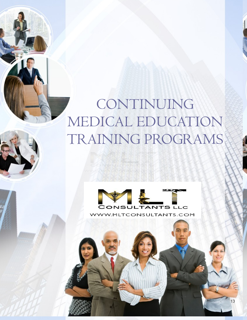# CONTINUING MEDICAL EDUCATION TRAINING PROGRAMS

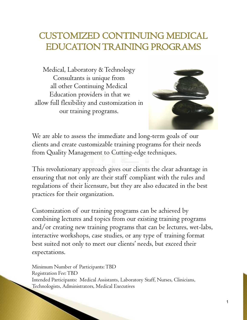### CUSTOMIZED CONTINUING MEDICAL EDUCATION TRAINING PROGRAMS

Medical, Laboratory & Technology Consultants is unique from all other Continuing Medical Education providers in that we allow full flexibility and customization in our training programs.



We are able to assess the immediate and long-term goals of our clients and create customizable training programs for their needs from Quality Management to Cutting-edge techniques.

This revolutionary approach gives our clients the clear advantage in ensuring that not only are their staff compliant with the rules and regulations of their licensure, but they are also educated in the best practices for their organization.

Customization of our training programs can be achieved by combining lectures and topics from our existing training programs and/or creating new training programs that can be lectures, wet-labs, interactive workshops, case studies, or any type of training format best suited not only to meet our clients' needs, but exceed their expectations.

Minimum Number of Participants: TBD Registration Fee: TBD Intended Participants: Medical Assistants, Laboratory Staff, Nurses, Clinicians, Technologists, Administrators, Medical Executives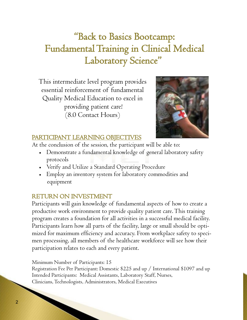## "Back to Basics Bootcamp: Fundamental Training in Clinical Medical Laboratory Science"

This intermediate level program provides essential reinforcement of fundamental Quality Medical Education to excel in providing patient care! (8.0 Contact Hours)



### PARTICIPANT LEARNING OBJECTIVES

At the conclusion of the session, the participant will be able to:

- Demonstrate a fundamental knowledge of general laboratory safety protocols
- Verify and Utilize a Standard Operating Procedure
- Employ an inventory system for laboratory commodities and equipment

### RETURN ON INVESTMENT

Participants will gain knowledge of fundamental aspects of how to create a productive work environment to provide quality patient care. This training program creates a foundation for all activities in a successful medical facility. Participants learn how all parts of the facility, large or small should be optimized for maximum efficiency and accuracy. From workplace safety to specimen processing, all members of the healthcare workforce will see how their participation relates to each and every patient.

Minimum Number of Participants: 15

Registration Fee Per Participant: Domestic \$225 and up / International \$1097 and up Intended Participants: Medical Assistants, Laboratory Staff, Nurses, Clinicians, Technologists, Administrators, Medical Executives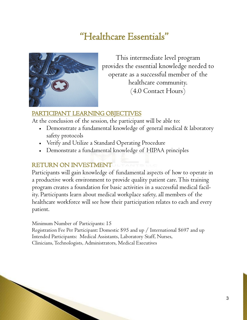### "Healthcare Essentials"



This intermediate level program provides the essential knowledge needed to operate as a successful member of the healthcare community. (4.0 Contact Hours)

#### PARTICIPANT LEARNING OBJECTIVES

At the conclusion of the session, the participant will be able to:

- Demonstrate a fundamental knowledge of general medical & laboratory safety protocols
- Verify and Utilize a Standard Operating Procedure
- Demonstrate a fundamental knowledge of HIPAA principles

### RETURN ON INVESTMENT

Participants will gain knowledge of fundamental aspects of how to operate in a productive work environment to provide quality patient care. This training program creates a foundation for basic activities in a successful medical facility. Participants learn about medical workplace safety, all members of the healthcare workforce will see how their participation relates to each and every patient.

Minimum Number of Participants: 15

Registration Fee Per Participant: Domestic \$95 and up / International \$697 and up Intended Participants: Medical Assistants, Laboratory Staff, Nurses, Clinicians, Technologists, Administrators, Medical Executives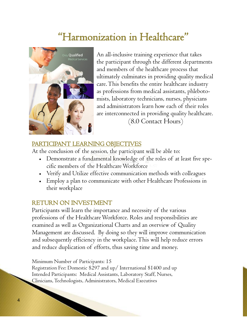## "Harmonization in Healthcare"



An all-inclusive training experience that takes the participant through the different departments and members of the healthcare process that ultimately culminates in providing quality medical care. This benefits the entire healthcare industry as professions from medical assistants, phlebotomists, laboratory technicians, nurses, physicians and administrators learn how each of their roles are interconnected in providing quality healthcare. (8.0 Contact Hours)

#### PARTICIPANT LEARNING OBJECTIVES

At the conclusion of the session, the participant will be able to:

- Demonstrate a fundamental knowledge of the roles of at least five specific members of the Healthcare Workforce
- Verify and Utilize effective communication methods with colleagues
- Employ a plan to communicate with other Healthcare Professions in their workplace

#### RETURN ON INVESTMENT

Participants will learn the importance and necessity of the various professions of the Healthcare Workforce. Roles and responsibilities are examined as well as Organizational Charts and an overview of Quality Management are discussed. By doing so they will improve communication and subsequently efficiency in the workplace. This will help reduce errors and reduce duplication of efforts, thus saving time and money.

#### Minimum Number of Participants: 15

Registration Fee: Domestic \$297 and up/ International \$1400 and up Intended Participants: Medical Assistants, Laboratory Staff, Nurses, Clinicians, Technologists, Administrators, Medical Executives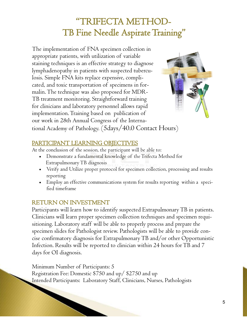### "TRIFECTA METHOD- TB Fine Needle Aspirate Training"

The implementation of FNA specimen collection in appropriate patients, with utilization of variable staining techniques is an effective strategy to diagnose lymphadenopathy in patients with suspected tuberculosis. Simple FNA kits replace expensive, complicated, and toxic transportation of specimens in formalin. The technique was also proposed for MDR-TB treatment monitoring. Straightforward training for clinicians and laboratory personnel allows rapid implementation. Training based on publication of our work in 28th Annual Congress of the International Academy of Pathology. (5days/40.0 Contact Hours)



#### PARTICIPANT LEARNING OBJECTIVES

At the conclusion of the session, the participant will be able to:

- Demonstrate a fundamental knowledge of the Trifecta Method for Extrapulmonary TB diagnosis
- Verify and Utilize proper protocol for specimen collection, processing and results reporting
- Employ an effective communications system for results reporting within a specified timeframe

### RETURN ON INVESTMENT

Participants will learn how to identify suspected Extrapulmonary TB in patients. Clinicians will learn proper specimen collection techniques and specimen requisitioning. Laboratory staff will be able to properly process and prepare the specimen slides for Pathologist review. Pathologists will be able to provide concise confirmatory diagnosis for Extrapulmonary TB and/or other Opportunistic Infection. Results will be reported to clinician within 24 hours for TB and 7 days for OI diagnosis.

Minimum Number of Participants: 5 Registration Fee: Domestic \$750 and up/ \$2750 and up Intended Participants: Laboratory Staff, Clinicians, Nurses, Pathologists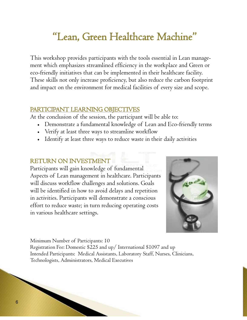## "Lean, Green Healthcare Machine"

This workshop provides participants with the tools essential in Lean management which emphasizes streamlined efficiency in the workplace and Green or eco-friendly initiatives that can be implemented in their healthcare facility. These skills not only increase proficiency, but also reduce the carbon footprint and impact on the environment for medical facilities of every size and scope.

#### PARTICIPANT LEARNING OBJECTIVES

At the conclusion of the session, the participant will be able to:

- Demonstrate a fundamental knowledge of Lean and Eco-friendly terms
- Verify at least three ways to streamline workflow
- Identify at least three ways to reduce waste in their daily activities

#### RETURN ON INVESTMENT

Participants will gain knowledge of fundamental Aspects of Lean management in healthcare. Participants will discuss workflow challenges and solutions. Goals will be identified in how to avoid delays and repetition in activities. Participants will demonstrate a conscious effort to reduce waste; in turn reducing operating costs in various healthcare settings.



Minimum Number of Participants: 10 Registration Fee: Domestic \$225 and up/ International \$1097 and up Intended Participants: Medical Assistants, Laboratory Staff, Nurses, Clinicians, Technologists, Administrators, Medical Executives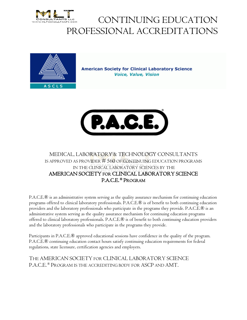



**American Society for Clinical Laboratory Science Voice, Value, Vision** 



#### MEDICAL, LABO<mark>RATORY & TE</mark>CHNOLOGY CONSULTANTS IS APPROVED AS PROVIDER  $\#$  560 of continuing education programs IN THE CLINICAL LABORATORY SCIENCES BY THE AMERICAN SOCIETY FOR CLINICAL LABORATORY SCIENCE P.A.C.E. ® PROGRAM

P.A.C.E.® is an administrative system serving as the quality assurance mechanism for continuing education<br>programs offered to clinical laboratory professionals. P.A.C.E.® is of benefit to both continuing education programs offered to clinical laboratory professionals. P.A.C.E.® is of benefit to both continuing education providers and the laboratory professionals who participate in the programs they provide. P.A.C.E.® is an<br>administrative system serving as the quality assurance mechanism for continuing education programs administrative system serving as the quality assurance mechanism for continuing education programs and the laboratory professionals who participate in the programs they provide.

offered to clinical laboratory professionals. P.A.C.E.® is of benefit to both continuing education providers<br>and the laboratory professionals who participate in the programs they provide.<br>Participants in P.A.C.E.® approved Participants in P.A.C.E.® approved educational sessions have confidence in the quality of the program. P.A.C.E.® continuing education contact hours satisfy continuing education requirements for federal regulations, state licensure, certification agencies and employers.

THE AMERICAN SOCIETY SOCIETY FOR CLINICAL LABORATORY SCIENCE P.A.C.E. ® Program is the accrediting body for ASCP and AMT.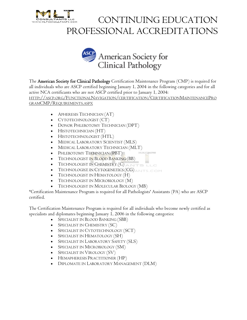



The American Society for Clinical Pathology Certification Maintenance Program (CMP) is required for all individuals who are ASCP certified beginning January I, 2004 in the following categories and for all<br>active NCA certificants who are not ASCP certified prior to January I, 2004: active NCA certificants who are not ASCP certified prior to January 1, 2004: The **American Society for Clinical Pathology** Certification Maintenance Program (CMP) is required for all individuals who are ASCP certified beginning January 1, 2004 in the following categories and for all active NCA cert

GRAMCMP/REQUIREMENTS.ASPX

- APHERESIS TECHNICIAN (AT)
- CYTOTECHNOLOGIST (CT)
- DONOR PHLEBOTOMY TECHNICIAN (DPT)
- HISTOTECHNICIAN (HT)
- HISTOTECHNOLOGIST ISTOTECHNOLOGIST (HTL)
- MEDICAL LABORATORY SCIENTIST (MLS)
- MEDICAL LABORATORY TECHNICIAN (MLT)
- PHLEBOTOMY TECHNICIAN (PBT)
- TECHNOLOGIST I<mark>N BLOOD BANKING (BB)</mark>
- $\bullet$  TECHNOLOGIST IN CHEMISTRY  $(C)$
- TECHNOLOGIST IN CYTOGENETICS (CG)
- TECHNOLOGIST IN HEMATOLOGY (H)
- TECHNOLOGIST IN MICROBIOLOGY (M)
- TECHNOLOGIST IN MOLECULAR BIOLOGY (MB)

certified.

\*Certification Maintenance Program is required for all Pathologists' Assistants (PA) who are ASCP<br>certified.<br>The Certification Maintenance Program is required for all individuals who become newly certified a<br>specialists an The Certification Maintenance Program is required for all individuals who become newly certified as specialists and diplomates beginning January 1, 2006 in the following categories:

- SPECIALIST IN BLOOD BANKING (SBB)
- SPECIALIST IN CHEMISTRY (SC)
- SPECIALIST IN CYTOTECHNOLOGY (SCT)
- SPECIALIST IN HEMATOLOGY (SH)
- SPECIALIST IN LABORATORY SAFETY (SLS)
- SPECIALIST IN MICROBIOLOGY (SM)
- SPECIALIST IN VIROLOGY (SV)
- HEMAPHERESIS PRACTITIONER (HP)
- DIPLOMATE IN LABORATORY MANAGEMENT (DLM)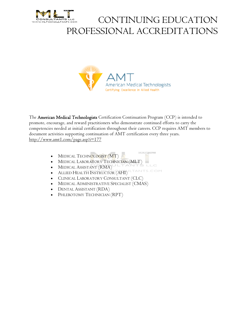



The American Medical Technologists Certification Continuation Program (CCP) is intended to promote, encourage, and reward practitioners who demonstrate continued efforts to carry the The **American Medical Technologists** Certification Continuation Program (CCP) is intended to<br>promote, encourage, and reward practitioners who demonstrate continued efforts to carry the<br>competencies needed at initial certif document activities supporting continuation of AMT certification every three years. http://www.amt1.com/page.asp?i=177

- MEDICAL TECHNOLOGIST (MT)
- MEDICAL LABORATORY TECHNICIAN (MLT)
- MEDICAL ASSISTANT (RMA)
- **ILTANTS.COM** • ALLIED HEALTH INSTRUCTOR (AHI)
- CLINICAL LABORATORY CONSULTANT (CLC)
- MEDICAL ADMINISTRATIVE SPECIALIST (CMAS)
- DENTAL ASSISTANT (RDA)
- PHLEBOTOMY TECHNICIAN (RPT)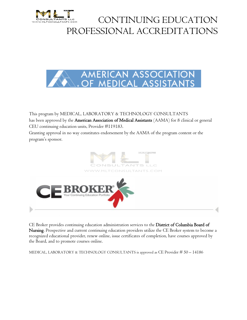



This program by MEDICAL, LABORATORY & TECHNOLOGY CONSULTANTS This program by MEDICAL, LABORATORY & TECHNOLOGY CONSULTANTS<br>has been approved by the **American Association of Medical Assistants** (AAMA) for 8 clinical or general CEU continuing education units, Provider #119183 #119183. Granting approval in no way constitutes endorsement by the AAMA of the program content or the program's sponsor.



CE Broker provides continuing education administration services to the District of Columbia Board of **Nursing**. Prospective and current continuing education providers utilize the CE Broker system to become a<br>recognized educational provider, renew online, issue certificates of completion, have courses approved by<br>the Board recognized educational provider, renew online, issue certificates of completion, have courses approved by the Board, and to promote courses online.

MEDICAL, LABORATORY & TECHNOLOGY CONSULTANTS is approved as CE Provider # 50 – 14186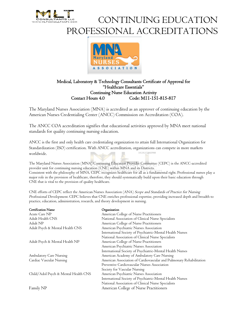



#### Medical, Laboratory & Technology Consultants Certificate of Approval for of "Healthcare Essentials" Continuing Nurse Education Activity Contact Hours 4.0 Code: MII-151-815-817

The Maryland Nurses Association (MNA) is accredited as an approver of continuing education by the American Nurses Credentialing Center (ANCC) Commission on Accreditation (COA).

American Nurses Credentialing Center (ANCC) Commission on Accreditation (COA).<br>The ANCC COA accreditation signifies that educational activities approved by MNA meet national standards for quality continuing nursing education.

ANCC is the first and only health care credentialing organization to attain full International Organization for Organization ANCC accreditation, organizations can compete in more markets Standardization (ISO) certification. With ANCC accreditation, organizations can worldwide.

The Maryland Nurses Association (MNA) Continuing Education Provider Committee (CEPC) is the ANCC-accredited provider unit for continuing nursing education (CNE) within MNA and its Districts. Consistent with the philosophy of MNA, CEPC recognizes healthcare for all as a fundamental right. Professional nurses play a<br>major role in the provision of healthcare, therefore, they should systematically build upon their major role in the provision of healthcare, therefore, they should systematically build upon their basic education through CNE that is vital to the provision of quality healthcare.

CNE efforts of CEPC reflect the American Nurses Association (ANA) Scope and Standards of Practice for Nursing Professional Development. CEPC believes that CNE enriches professional expertise, providing increased depth and breadth to<br>practice, education, administration, research, and theory development in nursing. practice, education, administration, research, and theory development in nursing.

| <b>Certification Name</b>            | Organization                                                        |
|--------------------------------------|---------------------------------------------------------------------|
| Acute Care NP                        | American College of Nurse Practitioners                             |
| Adult Health CNS                     | National Association of Clinical Nurse Specialists                  |
| Adult NP                             | American College of Nurse Practitioners                             |
| Adult Psych & Mental Health CNS      | American Psychiatric Nurses Association                             |
|                                      | International Society of Psychiatric-Mental Health Nurses           |
|                                      | National Association of Clinical Nurse Specialists                  |
| Adult Psych & Mental Health NP       | American College of Nurse Practitioners                             |
|                                      | American Psychiatric Nurses Association                             |
|                                      | International Society of Psychiatric-Mental Health Nurses           |
| Ambulatory Care Nursing              | American Academy of Ambulatory Care Nursing                         |
| Cardiac Vascular Nursing             | American Association of Cardiovascular and Pulmonary Rehabilitation |
|                                      | Preventive Cardiovascular Nurses Association                        |
|                                      | Society for Vascular Nursing                                        |
| Child/Adol Psych & Mental Health CNS | American Psychiatric Nurses Association                             |
|                                      | International Society of Psychiatric-Mental Health Nurses           |
|                                      | National Association of Clinical Nurse Specialists                  |
| Family NP                            | American College of Nurse Practitioners                             |